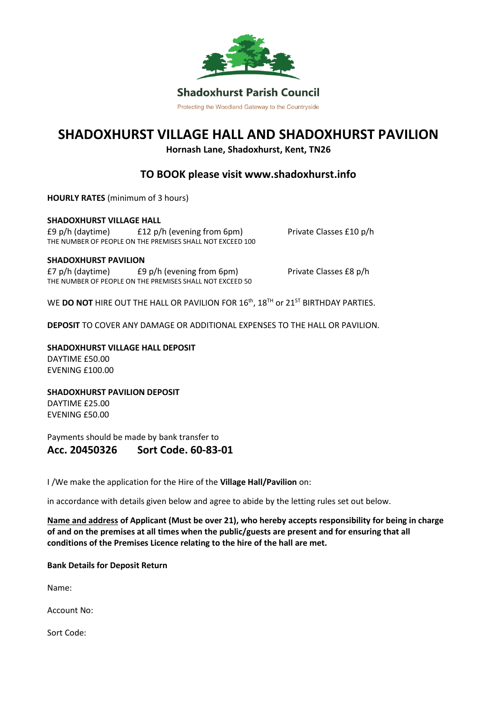

Protecting the Woodland Gateway to the Countryside

# **SHADOXHURST VILLAGE HALL AND SHADOXHURST PAVILION**

**Hornash Lane, Shadoxhurst, Kent, TN26**

# **TO BOOK please visit www.shadoxhurst.info**

**HOURLY RATES** (minimum of 3 hours)

**SHADOXHURST VILLAGE HALL** £9 p/h (daytime) £12 p/h (evening from 6pm) Private Classes £10 p/h THE NUMBER OF PEOPLE ON THE PREMISES SHALL NOT EXCEED 100

#### **SHADOXHURST PAVILION**

£7 p/h (daytime) £9 p/h (evening from 6pm) Private Classes £8 p/h THE NUMBER OF PEOPLE ON THE PREMISES SHALL NOT EXCEED 50

WE **DO NOT** HIRE OUT THE HALL OR PAVILION FOR 16<sup>th</sup>, 18<sup>TH</sup> or 21<sup>ST</sup> BIRTHDAY PARTIES.

**DEPOSIT** TO COVER ANY DAMAGE OR ADDITIONAL EXPENSES TO THE HALL OR PAVILION.

**SHADOXHURST VILLAGE HALL DEPOSIT** DAYTIME £50.00 EVENING £100.00

**SHADOXHURST PAVILION DEPOSIT** DAYTIME £25.00 EVENING £50.00

Payments should be made by bank transfer to

## **Acc. 20450326 Sort Code. 60-83-01**

I /We make the application for the Hire of the **Village Hall/Pavilion** on:

in accordance with details given below and agree to abide by the letting rules set out below.

**Name and address of Applicant (Must be over 21), who hereby accepts responsibility for being in charge of and on the premises at all times when the public/guests are present and for ensuring that all conditions of the Premises Licence relating to the hire of the hall are met.**

**Bank Details for Deposit Return**

Name:

Account No:

Sort Code: